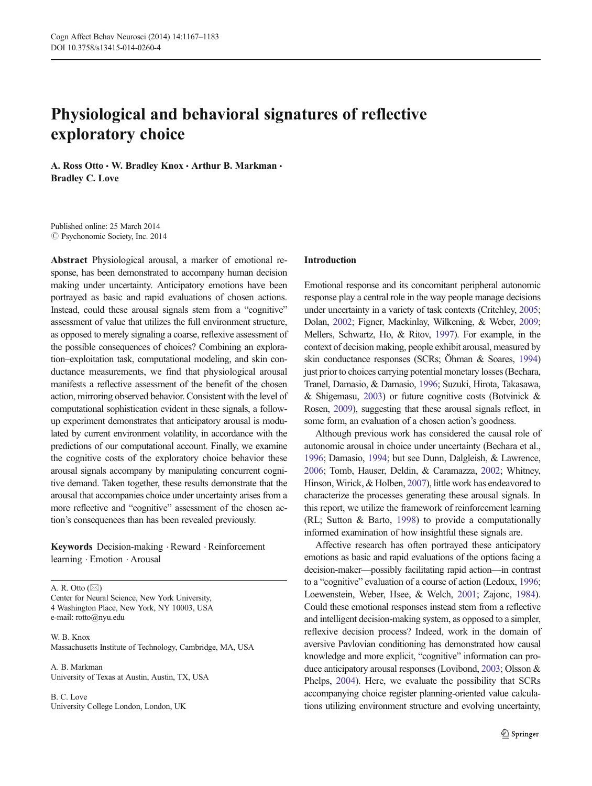# Physiological and behavioral signatures of reflective exploratory choice

A. Ross Otto . W. Bradley Knox . Arthur B. Markman . Bradley C. Love

Published online: 25 March 2014  $\oslash$  Psychonomic Society, Inc. 2014

Abstract Physiological arousal, a marker of emotional response, has been demonstrated to accompany human decision making under uncertainty. Anticipatory emotions have been portrayed as basic and rapid evaluations of chosen actions. Instead, could these arousal signals stem from a "cognitive" assessment of value that utilizes the full environment structure, as opposed to merely signaling a coarse, reflexive assessment of the possible consequences of choices? Combining an exploration–exploitation task, computational modeling, and skin conductance measurements, we find that physiological arousal manifests a reflective assessment of the benefit of the chosen action, mirroring observed behavior. Consistent with the level of computational sophistication evident in these signals, a followup experiment demonstrates that anticipatory arousal is modulated by current environment volatility, in accordance with the predictions of our computational account. Finally, we examine the cognitive costs of the exploratory choice behavior these arousal signals accompany by manipulating concurrent cognitive demand. Taken together, these results demonstrate that the arousal that accompanies choice under uncertainty arises from a more reflective and "cognitive" assessment of the chosen action's consequences than has been revealed previously.

Keywords Decision-making . Reward . Reinforcement learning . Emotion . Arousal

A. R. Otto  $(\boxtimes)$ Center for Neural Science, New York University,

4 Washington Place, New York, NY 10003, USA e-mail: rotto@nyu.edu

W. B. Knox Massachusetts Institute of Technology, Cambridge, MA, USA

A. B. Markman University of Texas at Austin, Austin, TX, USA

B. C. Love University College London, London, UK

## Introduction

Emotional response and its concomitant peripheral autonomic response play a central role in the way people manage decisions under uncertainty in a variety of task contexts (Critchley, [2005;](#page-15-0) Dolan, [2002](#page-15-0); Figner, Mackinlay, Wilkening, & Weber, [2009;](#page-15-0) Mellers, Schwartz, Ho, & Ritov, [1997\)](#page-16-0). For example, in the context of decision making, people exhibit arousal, measured by skin conductance responses (SCRs; Öhman & Soares, [1994](#page-16-0)) just prior to choices carrying potential monetary losses (Bechara, Tranel, Damasio, & Damasio, [1996](#page-15-0); Suzuki, Hirota, Takasawa, & Shigemasu, [2003\)](#page-16-0) or future cognitive costs (Botvinick & Rosen, [2009\)](#page-15-0), suggesting that these arousal signals reflect, in some form, an evaluation of a chosen action's goodness.

Although previous work has considered the causal role of autonomic arousal in choice under uncertainty (Bechara et al., [1996](#page-15-0); Damasio, [1994](#page-15-0); but see Dunn, Dalgleish, & Lawrence, [2006](#page-15-0); Tomb, Hauser, Deldin, & Caramazza, [2002](#page-16-0); Whitney, Hinson, Wirick, & Holben, [2007\)](#page-16-0), little work has endeavored to characterize the processes generating these arousal signals. In this report, we utilize the framework of reinforcement learning (RL; Sutton & Barto, [1998\)](#page-16-0) to provide a computationally informed examination of how insightful these signals are.

Affective research has often portrayed these anticipatory emotions as basic and rapid evaluations of the options facing a decision-maker—possibly facilitating rapid action—in contrast to a "cognitive" evaluation of a course of action (Ledoux, [1996;](#page-15-0) Loewenstein, Weber, Hsee, & Welch, [2001;](#page-15-0) Zajonc, [1984\)](#page-16-0). Could these emotional responses instead stem from a reflective and intelligent decision-making system, as opposed to a simpler, reflexive decision process? Indeed, work in the domain of aversive Pavlovian conditioning has demonstrated how causal knowledge and more explicit, "cognitive" information can produce anticipatory arousal responses (Lovibond, [2003](#page-15-0); Olsson & Phelps, [2004\)](#page-16-0). Here, we evaluate the possibility that SCRs accompanying choice register planning-oriented value calculations utilizing environment structure and evolving uncertainty,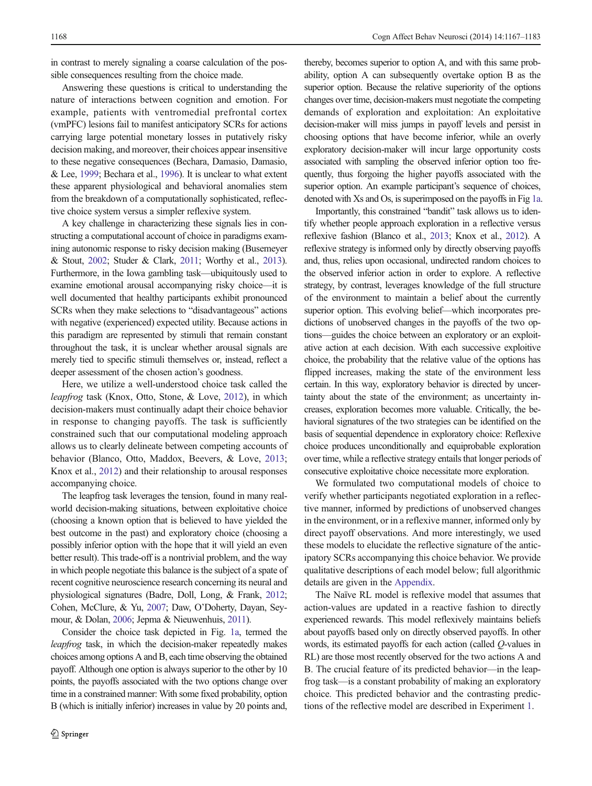in contrast to merely signaling a coarse calculation of the possible consequences resulting from the choice made.

Answering these questions is critical to understanding the nature of interactions between cognition and emotion. For example, patients with ventromedial prefrontal cortex (vmPFC) lesions fail to manifest anticipatory SCRs for actions carrying large potential monetary losses in putatively risky decision making, and moreover, their choices appear insensitive to these negative consequences (Bechara, Damasio, Damasio, & Lee, [1999](#page-15-0); Bechara et al., [1996](#page-15-0)). It is unclear to what extent these apparent physiological and behavioral anomalies stem from the breakdown of a computationally sophisticated, reflective choice system versus a simpler reflexive system.

A key challenge in characterizing these signals lies in constructing a computational account of choice in paradigms examining autonomic response to risky decision making (Busemeyer & Stout, [2002;](#page-15-0) Studer & Clark, [2011](#page-16-0); Worthy et al., [2013\)](#page-16-0). Furthermore, in the Iowa gambling task—ubiquitously used to examine emotional arousal accompanying risky choice—it is well documented that healthy participants exhibit pronounced SCRs when they make selections to "disadvantageous" actions with negative (experienced) expected utility. Because actions in this paradigm are represented by stimuli that remain constant throughout the task, it is unclear whether arousal signals are merely tied to specific stimuli themselves or, instead, reflect a deeper assessment of the chosen action's goodness.

Here, we utilize a well-understood choice task called the leapfrog task (Knox, Otto, Stone, & Love, [2012](#page-15-0)), in which decision-makers must continually adapt their choice behavior in response to changing payoffs. The task is sufficiently constrained such that our computational modeling approach allows us to clearly delineate between competing accounts of behavior (Blanco, Otto, Maddox, Beevers, & Love, [2013](#page-15-0); Knox et al., [2012](#page-15-0)) and their relationship to arousal responses accompanying choice.

The leapfrog task leverages the tension, found in many realworld decision-making situations, between exploitative choice (choosing a known option that is believed to have yielded the best outcome in the past) and exploratory choice (choosing a possibly inferior option with the hope that it will yield an even better result). This trade-off is a nontrivial problem, and the way in which people negotiate this balance is the subject of a spate of recent cognitive neuroscience research concerning its neural and physiological signatures (Badre, Doll, Long, & Frank, [2012](#page-15-0); Cohen, McClure, & Yu, [2007;](#page-15-0) Daw, O'Doherty, Dayan, Seymour, & Dolan, [2006;](#page-15-0) Jepma & Nieuwenhuis, [2011\)](#page-15-0).

Consider the choice task depicted in Fig. [1a](#page-2-0), termed the leapfrog task, in which the decision-maker repeatedly makes choices among options A and B, each time observing the obtained payoff. Although one option is always superior to the other by 10 points, the payoffs associated with the two options change over time in a constrained manner: With some fixed probability, option B (which is initially inferior) increases in value by 20 points and,

thereby, becomes superior to option A, and with this same probability, option A can subsequently overtake option B as the superior option. Because the relative superiority of the options changes over time, decision-makers must negotiate the competing demands of exploration and exploitation: An exploitative decision-maker will miss jumps in payoff levels and persist in choosing options that have become inferior, while an overly exploratory decision-maker will incur large opportunity costs associated with sampling the observed inferior option too frequently, thus forgoing the higher payoffs associated with the superior option. An example participant's sequence of choices, denoted with Xs and Os, is superimposed on the payoffs in Fig [1a.](#page-2-0)

Importantly, this constrained "bandit" task allows us to identify whether people approach exploration in a reflective versus reflexive fashion (Blanco et al., [2013;](#page-15-0) Knox et al., [2012\)](#page-15-0). A reflexive strategy is informed only by directly observing payoffs and, thus, relies upon occasional, undirected random choices to the observed inferior action in order to explore. A reflective strategy, by contrast, leverages knowledge of the full structure of the environment to maintain a belief about the currently superior option. This evolving belief—which incorporates predictions of unobserved changes in the payoffs of the two options—guides the choice between an exploratory or an exploitative action at each decision. With each successive exploitive choice, the probability that the relative value of the options has flipped increases, making the state of the environment less certain. In this way, exploratory behavior is directed by uncertainty about the state of the environment; as uncertainty increases, exploration becomes more valuable. Critically, the behavioral signatures of the two strategies can be identified on the basis of sequential dependence in exploratory choice: Reflexive choice produces unconditionally and equiprobable exploration over time, while a reflective strategy entails that longer periods of consecutive exploitative choice necessitate more exploration.

We formulated two computational models of choice to verify whether participants negotiated exploration in a reflective manner, informed by predictions of unobserved changes in the environment, or in a reflexive manner, informed only by direct payoff observations. And more interestingly, we used these models to elucidate the reflective signature of the anticipatory SCRs accompanying this choice behavior. We provide qualitative descriptions of each model below; full algorithmic details are given in the [Appendix](#page-12-0).

The Naïve RL model is reflexive model that assumes that action-values are updated in a reactive fashion to directly experienced rewards. This model reflexively maintains beliefs about payoffs based only on directly observed payoffs. In other words, its estimated payoffs for each action (called Q-values in RL) are those most recently observed for the two actions A and B. The crucial feature of its predicted behavior—in the leapfrog task—is a constant probability of making an exploratory choice. This predicted behavior and the contrasting predictions of the reflective model are described in Experiment [1](#page-3-0).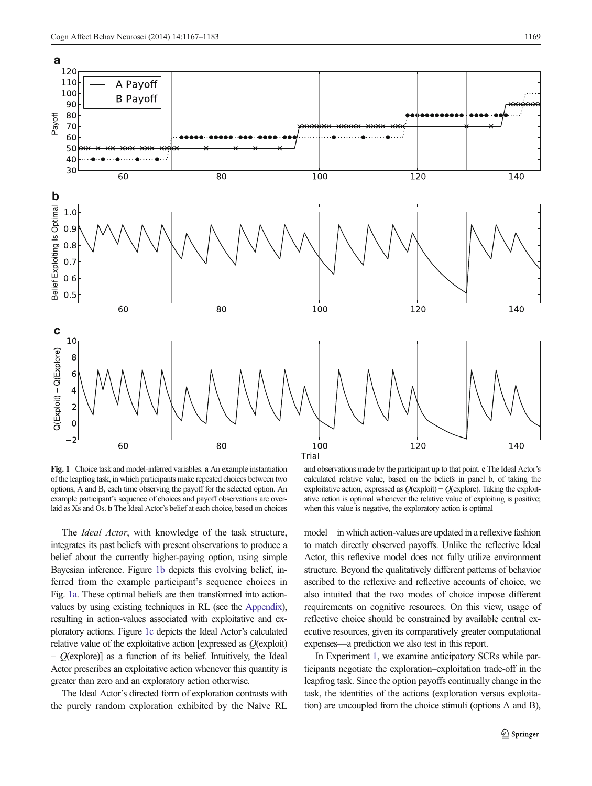<span id="page-2-0"></span>

Fig. 1 Choice task and model-inferred variables. a An example instantiation of the leapfrog task, in which participants make repeated choices between two options, A and B, each time observing the payoff for the selected option. An example participant's sequence of choices and payoff observations are overlaid as Xs and Os. b The Ideal Actor's belief at each choice, based on choices

The *Ideal Actor*, with knowledge of the task structure, integrates its past beliefs with present observations to produce a belief about the currently higher-paying option, using simple Bayesian inference. Figure 1b depicts this evolving belief, inferred from the example participant's sequence choices in Fig. 1a. These optimal beliefs are then transformed into actionvalues by using existing techniques in RL (see the [Appendix\)](#page-12-0), resulting in action-values associated with exploitative and exploratory actions. Figure 1c depicts the Ideal Actor's calculated relative value of the exploitative action [expressed as Q(exploit)  $-$  Q(explore)] as a function of its belief. Intuitively, the Ideal Actor prescribes an exploitative action whenever this quantity is greater than zero and an exploratory action otherwise.

The Ideal Actor's directed form of exploration contrasts with the purely random exploration exhibited by the Naïve RL

and observations made by the participant up to that point. c The Ideal Actor's calculated relative value, based on the beliefs in panel b, of taking the exploitative action, expressed as  $Q$ (exploit) –  $Q$ (explore). Taking the exploitative action is optimal whenever the relative value of exploiting is positive; when this value is negative, the exploratory action is optimal

model—in which action-values are updated in a reflexive fashion to match directly observed payoffs. Unlike the reflective Ideal Actor, this reflexive model does not fully utilize environment structure. Beyond the qualitatively different patterns of behavior ascribed to the reflexive and reflective accounts of choice, we also intuited that the two modes of choice impose different requirements on cognitive resources. On this view, usage of reflective choice should be constrained by available central executive resources, given its comparatively greater computational expenses—a prediction we also test in this report.

In Experiment [1,](#page-3-0) we examine anticipatory SCRs while participants negotiate the exploration–exploitation trade-off in the leapfrog task. Since the option payoffs continually change in the task, the identities of the actions (exploration versus exploitation) are uncoupled from the choice stimuli (options A and B),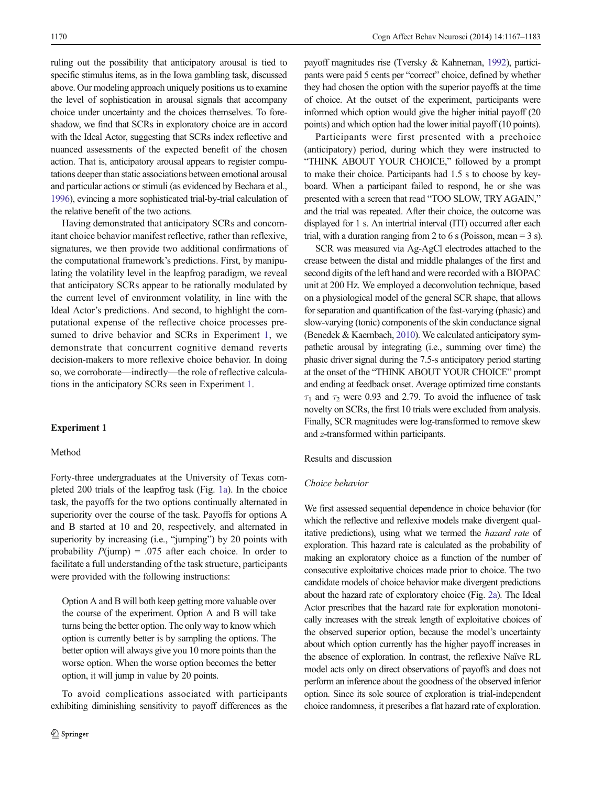<span id="page-3-0"></span>ruling out the possibility that anticipatory arousal is tied to specific stimulus items, as in the Iowa gambling task, discussed above. Our modeling approach uniquely positions us to examine the level of sophistication in arousal signals that accompany choice under uncertainty and the choices themselves. To foreshadow, we find that SCRs in exploratory choice are in accord with the Ideal Actor, suggesting that SCRs index reflective and nuanced assessments of the expected benefit of the chosen action. That is, anticipatory arousal appears to register computations deeper than static associations between emotional arousal and particular actions or stimuli (as evidenced by Bechara et al., [1996](#page-15-0)), evincing a more sophisticated trial-by-trial calculation of the relative benefit of the two actions.

Having demonstrated that anticipatory SCRs and concomitant choice behavior manifest reflective, rather than reflexive, signatures, we then provide two additional confirmations of the computational framework's predictions. First, by manipulating the volatility level in the leapfrog paradigm, we reveal that anticipatory SCRs appear to be rationally modulated by the current level of environment volatility, in line with the Ideal Actor's predictions. And second, to highlight the computational expense of the reflective choice processes presumed to drive behavior and SCRs in Experiment 1, we demonstrate that concurrent cognitive demand reverts decision-makers to more reflexive choice behavior. In doing so, we corroborate—indirectly—the role of reflective calculations in the anticipatory SCRs seen in Experiment 1.

## Experiment 1

#### Method

Forty-three undergraduates at the University of Texas completed 200 trials of the leapfrog task (Fig. [1a\)](#page-2-0). In the choice task, the payoffs for the two options continually alternated in superiority over the course of the task. Payoffs for options A and B started at 10 and 20, respectively, and alternated in superiority by increasing (i.e., "jumping") by 20 points with probability  $P(\text{jump}) = .075$  after each choice. In order to facilitate a full understanding of the task structure, participants were provided with the following instructions:

Option A and B will both keep getting more valuable over the course of the experiment. Option A and B will take turns being the better option. The only way to know which option is currently better is by sampling the options. The better option will always give you 10 more points than the worse option. When the worse option becomes the better option, it will jump in value by 20 points.

To avoid complications associated with participants exhibiting diminishing sensitivity to payoff differences as the payoff magnitudes rise (Tversky & Kahneman, [1992](#page-16-0)), participants were paid 5 cents per "correct" choice, defined by whether they had chosen the option with the superior payoffs at the time of choice. At the outset of the experiment, participants were informed which option would give the higher initial payoff (20 points) and which option had the lower initial payoff (10 points).

Participants were first presented with a prechoice (anticipatory) period, during which they were instructed to "THINK ABOUT YOUR CHOICE," followed by a prompt to make their choice. Participants had 1.5 s to choose by keyboard. When a participant failed to respond, he or she was presented with a screen that read "TOO SLOW, TRY AGAIN," and the trial was repeated. After their choice, the outcome was displayed for 1 s. An intertrial interval (ITI) occurred after each trial, with a duration ranging from 2 to 6 s (Poisson, mean = 3 s).

SCR was measured via Ag-AgCl electrodes attached to the crease between the distal and middle phalanges of the first and second digits of the left hand and were recorded with a BIOPAC unit at 200 Hz. We employed a deconvolution technique, based on a physiological model of the general SCR shape, that allows for separation and quantification of the fast-varying (phasic) and slow-varying (tonic) components of the skin conductance signal (Benedek & Kaernbach, [2010\)](#page-15-0). We calculated anticipatory sympathetic arousal by integrating (i.e., summing over time) the phasic driver signal during the 7.5-s anticipatory period starting at the onset of the "THINK ABOUT YOUR CHOICE" prompt and ending at feedback onset. Average optimized time constants  $\tau_1$  and  $\tau_2$  were 0.93 and 2.79. To avoid the influence of task novelty on SCRs, the first 10 trials were excluded from analysis. Finally, SCR magnitudes were log-transformed to remove skew and z-transformed within participants.

## Results and discussion

## Choice behavior

We first assessed sequential dependence in choice behavior (for which the reflective and reflexive models make divergent qualitative predictions), using what we termed the hazard rate of exploration. This hazard rate is calculated as the probability of making an exploratory choice as a function of the number of consecutive exploitative choices made prior to choice. The two candidate models of choice behavior make divergent predictions about the hazard rate of exploratory choice (Fig. [2a](#page-4-0)). The Ideal Actor prescribes that the hazard rate for exploration monotonically increases with the streak length of exploitative choices of the observed superior option, because the model's uncertainty about which option currently has the higher payoff increases in the absence of exploration. In contrast, the reflexive Naïve RL model acts only on direct observations of payoffs and does not perform an inference about the goodness of the observed inferior option. Since its sole source of exploration is trial-independent choice randomness, it prescribes a flat hazard rate of exploration.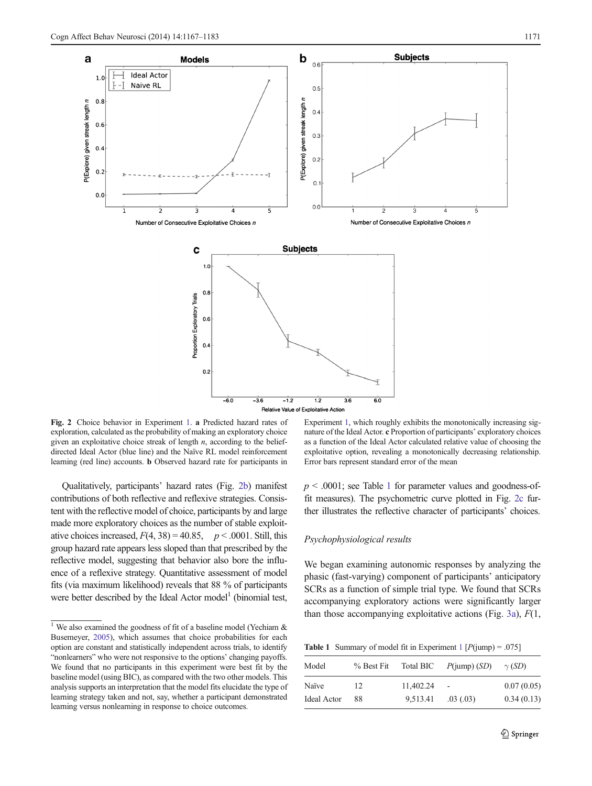<span id="page-4-0"></span>

Fig. 2 Choice behavior in Experiment [1](#page-3-0). a Predicted hazard rates of exploration, calculated as the probability of making an exploratory choice given an exploitative choice streak of length  $n$ , according to the beliefdirected Ideal Actor (blue line) and the Naïve RL model reinforcement learning (red line) accounts. b Observed hazard rate for participants in

Qualitatively, participants' hazard rates (Fig. 2b) manifest contributions of both reflective and reflexive strategies. Consistent with the reflective model of choice, participants by and large made more exploratory choices as the number of stable exploitative choices increased,  $F(4, 38) = 40.85$ ,  $p < .0001$ . Still, this group hazard rate appears less sloped than that prescribed by the reflective model, suggesting that behavior also bore the influence of a reflexive strategy. Quantitative assessment of model fits (via maximum likelihood) reveals that 88 % of participants were better described by the Ideal Actor model $^1$  (binomial test,

Experiment [1,](#page-3-0) which roughly exhibits the monotonically increasing signature of the Ideal Actor. c Proportion of participants' exploratory choices as a function of the Ideal Actor calculated relative value of choosing the exploitative option, revealing a monotonically decreasing relationship. Error bars represent standard error of the mean

 $p < .0001$ ; see Table 1 for parameter values and goodness-offit measures). The psychometric curve plotted in Fig. 2c further illustrates the reflective character of participants' choices.

#### Psychophysiological results

We began examining autonomic responses by analyzing the phasic (fast-varying) component of participants' anticipatory SCRs as a function of simple trial type. We found that SCRs accompanying exploratory actions were significantly larger than those accompanying exploitative actions (Fig. [3a](#page-5-0)),  $F(1, 1)$ 

**Table [1](#page-3-0)** Summary of model fit in Experiment 1  $[P(iump) = .075]$ 

| Model       | $%$ Best Fit | Total BIC | P(iump) (SD) | $\gamma(SD)$ |
|-------------|--------------|-----------|--------------|--------------|
| Naïve       | 12           | 11,402.24 | $\sim$       | 0.07(0.05)   |
| Ideal Actor | 88           | 9.513.41  | .03(0.03)    | 0.34(0.13)   |

 $^1$  We also examined the goodness of fit of a baseline model (Yechiam  $\&$ Busemeyer, [2005\)](#page-16-0), which assumes that choice probabilities for each option are constant and statistically independent across trials, to identify "nonlearners" who were not responsive to the options' changing payoffs. We found that no participants in this experiment were best fit by the baseline model (using BIC), as compared with the two other models. This analysis supports an interpretation that the model fits elucidate the type of learning strategy taken and not, say, whether a participant demonstrated learning versus nonlearning in response to choice outcomes.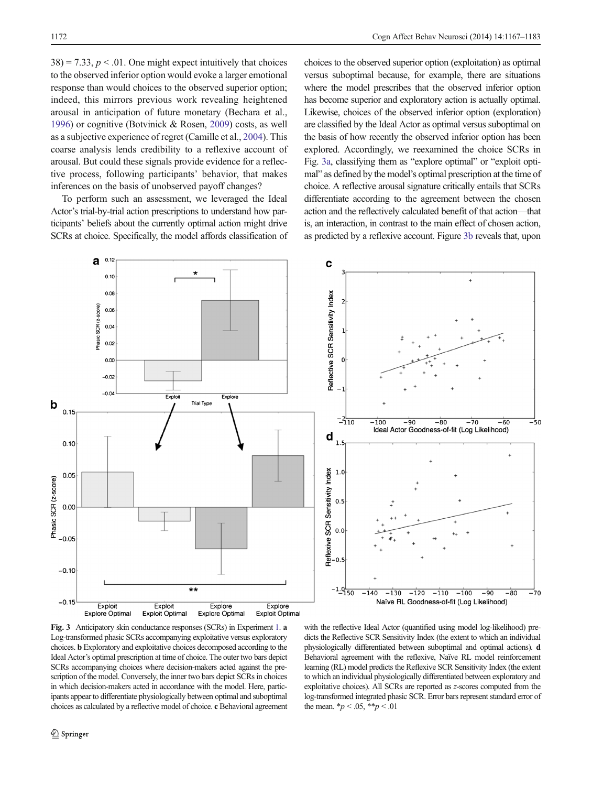<span id="page-5-0"></span> $38 = 7.33$ ,  $p < 0.01$ . One might expect intuitively that choices to the observed inferior option would evoke a larger emotional response than would choices to the observed superior option; indeed, this mirrors previous work revealing heightened arousal in anticipation of future monetary (Bechara et al., [1996\)](#page-15-0) or cognitive (Botvinick & Rosen, [2009\)](#page-15-0) costs, as well as a subjective experience of regret (Camille et al., [2004](#page-15-0)). This coarse analysis lends credibility to a reflexive account of arousal. But could these signals provide evidence for a reflective process, following participants' behavior, that makes inferences on the basis of unobserved payoff changes?

To perform such an assessment, we leveraged the Ideal Actor's trial-by-trial action prescriptions to understand how participants' beliefs about the currently optimal action might drive SCRs at choice. Specifically, the model affords classification of

choices to the observed superior option (exploitation) as optimal versus suboptimal because, for example, there are situations where the model prescribes that the observed inferior option has become superior and exploratory action is actually optimal. Likewise, choices of the observed inferior option (exploration) are classified by the Ideal Actor as optimal versus suboptimal on the basis of how recently the observed inferior option has been explored. Accordingly, we reexamined the choice SCRs in Fig. 3a, classifying them as "explore optimal" or "exploit optimal" as defined by the model's optimal prescription at the time of choice. A reflective arousal signature critically entails that SCRs differentiate according to the agreement between the chosen action and the reflectively calculated benefit of that action—that is, an interaction, in contrast to the main effect of chosen action, as predicted by a reflexive account. Figure 3b reveals that, upon



Fig. 3 Anticipatory skin conductance responses (SCRs) in Experiment [1.](#page-3-0) a Log-transformed phasic SCRs accompanying exploitative versus exploratory choices. b Exploratory and exploitative choices decomposed according to the Ideal Actor's optimal prescription at time of choice. The outer two bars depict SCRs accompanying choices where decision-makers acted against the prescription of the model. Conversely, the inner two bars depict SCRs in choices in which decision-makers acted in accordance with the model. Here, participants appear to differentiate physiologically between optimal and suboptimal choices as calculated by a reflective model of choice. c Behavioral agreement

with the reflective Ideal Actor (quantified using model log-likelihood) predicts the Reflective SCR Sensitivity Index (the extent to which an individual physiologically differentiated between suboptimal and optimal actions). d Behavioral agreement with the reflexive, Naïve RL model reinforcement learning (RL) model predicts the Reflexive SCR Sensitivity Index (the extent to which an individual physiologically differentiated between exploratory and exploitative choices). All SCRs are reported as z-scores computed from the log-transformed integrated phasic SCR. Error bars represent standard error of the mean.  $*_{p}$  < .05,  $*_{p}$  < .01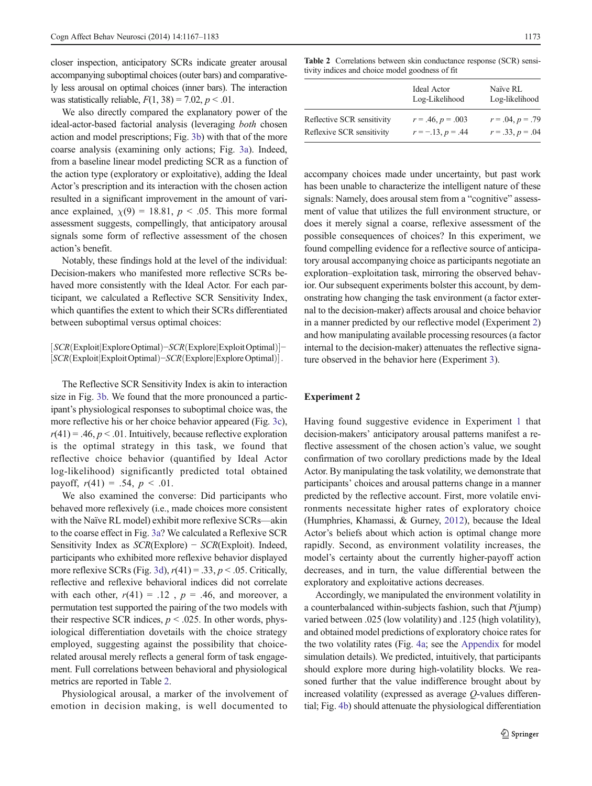<span id="page-6-0"></span>closer inspection, anticipatory SCRs indicate greater arousal accompanying suboptimal choices (outer bars) and comparatively less arousal on optimal choices (inner bars). The interaction was statistically reliable,  $F(1, 38) = 7.02$ ,  $p < .01$ .

We also directly compared the explanatory power of the ideal-actor-based factorial analysis (leveraging both chosen action and model prescriptions; Fig. [3b](#page-5-0)) with that of the more coarse analysis (examining only actions; Fig. [3a](#page-5-0)). Indeed, from a baseline linear model predicting SCR as a function of the action type (exploratory or exploitative), adding the Ideal Actor's prescription and its interaction with the chosen action resulted in a significant improvement in the amount of variance explained,  $\chi$ (9) = 18.81,  $p$  < .05. This more formal assessment suggests, compellingly, that anticipatory arousal signals some form of reflective assessment of the chosen action's benefit.

Notably, these findings hold at the level of the individual: Decision-makers who manifested more reflective SCRs behaved more consistently with the Ideal Actor. For each participant, we calculated a Reflective SCR Sensitivity Index, which quantifies the extent to which their SCRs differentiated between suboptimal versus optimal choices:

## [SCR(Exploit|Explore Optimal)-SCR(Explore|Exploit Optimal)]-[SCR(Exploit|Exploit Optimal)–SCR(Explore|Explore Optimal)].

The Reflective SCR Sensitivity Index is akin to interaction size in Fig. [3b](#page-5-0). We found that the more pronounced a participant's physiological responses to suboptimal choice was, the more reflective his or her choice behavior appeared (Fig. [3c\)](#page-5-0),  $r(41) = .46, p < .01$ . Intuitively, because reflective exploration is the optimal strategy in this task, we found that reflective choice behavior (quantified by Ideal Actor log-likelihood) significantly predicted total obtained payoff,  $r(41) = .54$ ,  $p < .01$ .

We also examined the converse: Did participants who behaved more reflexively (i.e., made choices more consistent with the Naïve RL model) exhibit more reflexive SCRs—akin to the coarse effect in Fig. [3a?](#page-5-0) We calculated a Reflexive SCR Sensitivity Index as *SCR*(Explore) − *SCR*(Exploit). Indeed, participants who exhibited more reflexive behavior displayed more reflexive SCRs (Fig. [3d\)](#page-5-0),  $r(41) = .33$ ,  $p < .05$ . Critically, reflective and reflexive behavioral indices did not correlate with each other,  $r(41) = .12$ ,  $p = .46$ , and moreover, a permutation test supported the pairing of the two models with their respective SCR indices,  $p < .025$ . In other words, physiological differentiation dovetails with the choice strategy employed, suggesting against the possibility that choicerelated arousal merely reflects a general form of task engagement. Full correlations between behavioral and physiological metrics are reported in Table 2.

Physiological arousal, a marker of the involvement of emotion in decision making, is well documented to

Table 2 Correlations between skin conductance response (SCR) sensitivity indices and choice model goodness of fit

|                            | Ideal Actor<br>Log-Likelihood | Naïve RL<br>Log-likelihood |
|----------------------------|-------------------------------|----------------------------|
| Reflective SCR sensitivity | $r = .46, p = .003$           | $r = .04, p = .79$         |
| Reflexive SCR sensitivity  | $r = -13$ , $p = .44$         | $r = .33, p = .04$         |

accompany choices made under uncertainty, but past work has been unable to characterize the intelligent nature of these signals: Namely, does arousal stem from a "cognitive" assessment of value that utilizes the full environment structure, or does it merely signal a coarse, reflexive assessment of the possible consequences of choices? In this experiment, we found compelling evidence for a reflective source of anticipatory arousal accompanying choice as participants negotiate an exploration–exploitation task, mirroring the observed behavior. Our subsequent experiments bolster this account, by demonstrating how changing the task environment (a factor external to the decision-maker) affects arousal and choice behavior in a manner predicted by our reflective model (Experiment 2) and how manipulating available processing resources (a factor internal to the decision-maker) attenuates the reflective signature observed in the behavior here (Experiment [3\)](#page-8-0).

## Experiment 2

Having found suggestive evidence in Experiment [1](#page-3-0) that decision-makers' anticipatory arousal patterns manifest a reflective assessment of the chosen action's value, we sought confirmation of two corollary predictions made by the Ideal Actor. By manipulating the task volatility, we demonstrate that participants' choices and arousal patterns change in a manner predicted by the reflective account. First, more volatile environments necessitate higher rates of exploratory choice (Humphries, Khamassi, & Gurney, [2012\)](#page-15-0), because the Ideal Actor's beliefs about which action is optimal change more rapidly. Second, as environment volatility increases, the model's certainty about the currently higher-payoff action decreases, and in turn, the value differential between the exploratory and exploitative actions decreases.

Accordingly, we manipulated the environment volatility in a counterbalanced within-subjects fashion, such that  $P(iump)$ varied between .025 (low volatility) and .125 (high volatility), and obtained model predictions of exploratory choice rates for the two volatility rates (Fig. [4a](#page-7-0); see the [Appendix](#page-12-0) for model simulation details). We predicted, intuitively, that participants should explore more during high-volatility blocks. We reasoned further that the value indifference brought about by increased volatility (expressed as average Q-values differential; Fig. [4b](#page-7-0)) should attenuate the physiological differentiation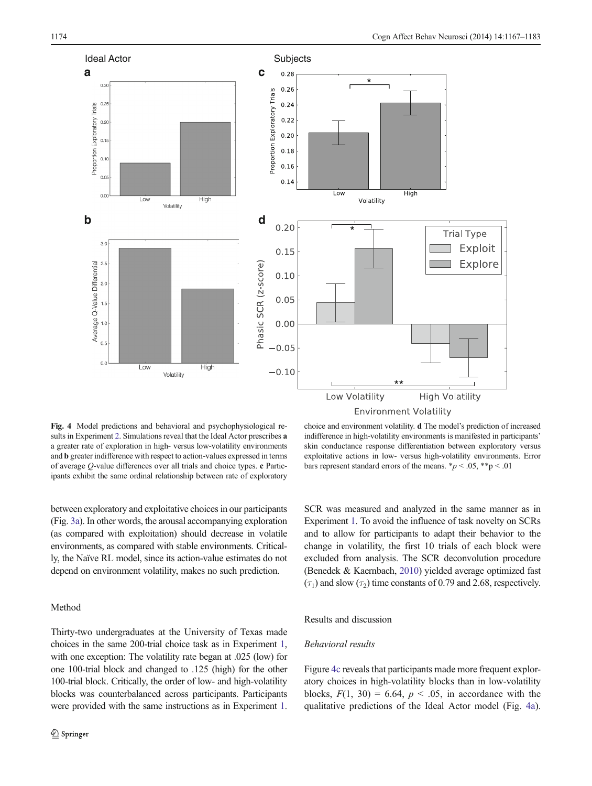<span id="page-7-0"></span>

Fig. 4 Model predictions and behavioral and psychophysiological results in Experiment [2.](#page-6-0) Simulations reveal that the Ideal Actor prescribes a a greater rate of exploration in high- versus low-volatility environments and b greater indifference with respect to action-values expressed in terms of average Q-value differences over all trials and choice types. c Participants exhibit the same ordinal relationship between rate of exploratory

between exploratory and exploitative choices in our participants (Fig. [3a\)](#page-5-0). In other words, the arousal accompanying exploration (as compared with exploitation) should decrease in volatile environments, as compared with stable environments. Critically, the Naïve RL model, since its action-value estimates do not depend on environment volatility, makes no such prediction.

## Method

Thirty-two undergraduates at the University of Texas made choices in the same 200-trial choice task as in Experiment [1,](#page-3-0) with one exception: The volatility rate began at .025 (low) for one 100-trial block and changed to .125 (high) for the other 100-trial block. Critically, the order of low- and high-volatility blocks was counterbalanced across participants. Participants were provided with the same instructions as in Experiment [1.](#page-3-0)

choice and environment volatility. d The model's prediction of increased indifference in high-volatility environments is manifested in participants' skin conductance response differentiation between exploratory versus exploitative actions in low- versus high-volatility environments. Error bars represent standard errors of the means.  $\frac{p}{q}$  < .05,  $\frac{p}{q}$  < .01

SCR was measured and analyzed in the same manner as in Experiment [1.](#page-3-0) To avoid the influence of task novelty on SCRs and to allow for participants to adapt their behavior to the change in volatility, the first 10 trials of each block were excluded from analysis. The SCR deconvolution procedure (Benedek & Kaernbach, [2010](#page-15-0)) yielded average optimized fast  $(\tau_1)$  and slow  $(\tau_2)$  time constants of 0.79 and 2.68, respectively.

Results and discussion

## Behavioral results

Figure 4c reveals that participants made more frequent exploratory choices in high-volatility blocks than in low-volatility blocks,  $F(1, 30) = 6.64$ ,  $p < .05$ , in accordance with the qualitative predictions of the Ideal Actor model (Fig. 4a).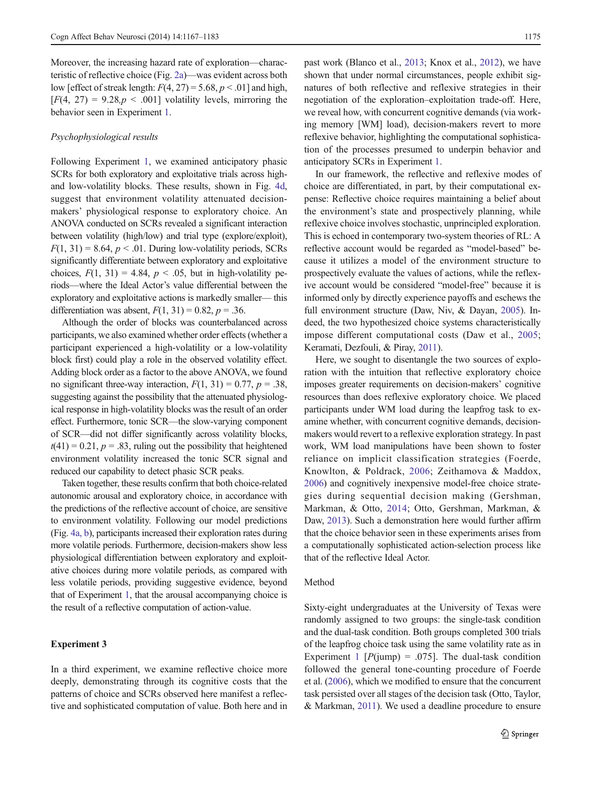<span id="page-8-0"></span>Moreover, the increasing hazard rate of exploration—characteristic of reflective choice (Fig. [2a\)](#page-4-0)—was evident across both low [effect of streak length:  $F(4, 27) = 5.68$ ,  $p < .01$ ] and high,  $[F(4, 27) = 9.28, p \le .001]$  volatility levels, mirroring the behavior seen in Experiment [1](#page-3-0).

## Psychophysiological results

Following Experiment [1,](#page-3-0) we examined anticipatory phasic SCRs for both exploratory and exploitative trials across highand low-volatility blocks. These results, shown in Fig. [4d,](#page-7-0) suggest that environment volatility attenuated decisionmakers' physiological response to exploratory choice. An ANOVA conducted on SCRs revealed a significant interaction between volatility (high/low) and trial type (explore/exploit),  $F(1, 31) = 8.64$ ,  $p < .01$ . During low-volatility periods, SCRs significantly differentiate between exploratory and exploitative choices,  $F(1, 31) = 4.84$ ,  $p < .05$ , but in high-volatility periods—where the Ideal Actor's value differential between the exploratory and exploitative actions is markedly smaller— this differentiation was absent,  $F(1, 31) = 0.82$ ,  $p = .36$ .

Although the order of blocks was counterbalanced across participants, we also examined whether order effects (whether a participant experienced a high-volatility or a low-volatility block first) could play a role in the observed volatility effect. Adding block order as a factor to the above ANOVA, we found no significant three-way interaction,  $F(1, 31) = 0.77$ ,  $p = .38$ , suggesting against the possibility that the attenuated physiological response in high-volatility blocks was the result of an order effect. Furthermore, tonic SCR—the slow-varying component of SCR—did not differ significantly across volatility blocks,  $t(41) = 0.21$ ,  $p = .83$ , ruling out the possibility that heightened environment volatility increased the tonic SCR signal and reduced our capability to detect phasic SCR peaks.

Taken together, these results confirm that both choice-related autonomic arousal and exploratory choice, in accordance with the predictions of the reflective account of choice, are sensitive to environment volatility. Following our model predictions (Fig. [4a, b](#page-7-0)), participants increased their exploration rates during more volatile periods. Furthermore, decision-makers show less physiological differentiation between exploratory and exploitative choices during more volatile periods, as compared with less volatile periods, providing suggestive evidence, beyond that of Experiment [1](#page-3-0), that the arousal accompanying choice is the result of a reflective computation of action-value.

## Experiment 3

In a third experiment, we examine reflective choice more deeply, demonstrating through its cognitive costs that the patterns of choice and SCRs observed here manifest a reflective and sophisticated computation of value. Both here and in past work (Blanco et al., [2013;](#page-15-0) Knox et al., [2012](#page-15-0)), we have shown that under normal circumstances, people exhibit signatures of both reflective and reflexive strategies in their negotiation of the exploration–exploitation trade-off. Here, we reveal how, with concurrent cognitive demands (via working memory [WM] load), decision-makers revert to more reflexive behavior, highlighting the computational sophistication of the processes presumed to underpin behavior and anticipatory SCRs in Experiment [1.](#page-3-0)

In our framework, the reflective and reflexive modes of choice are differentiated, in part, by their computational expense: Reflective choice requires maintaining a belief about the environment's state and prospectively planning, while reflexive choice involves stochastic, unprincipled exploration. This is echoed in contemporary two-system theories of RL: A reflective account would be regarded as "model-based" because it utilizes a model of the environment structure to prospectively evaluate the values of actions, while the reflexive account would be considered "model-free" because it is informed only by directly experience payoffs and eschews the full environment structure (Daw, Niv, & Dayan, [2005\)](#page-15-0). Indeed, the two hypothesized choice systems characteristically impose different computational costs (Daw et al., [2005;](#page-15-0) Keramati, Dezfouli, & Piray, [2011](#page-15-0)).

Here, we sought to disentangle the two sources of exploration with the intuition that reflective exploratory choice imposes greater requirements on decision-makers' cognitive resources than does reflexive exploratory choice. We placed participants under WM load during the leapfrog task to examine whether, with concurrent cognitive demands, decisionmakers would revert to a reflexive exploration strategy. In past work, WM load manipulations have been shown to foster reliance on implicit classification strategies (Foerde, Knowlton, & Poldrack, [2006;](#page-15-0) Zeithamova & Maddox, [2006\)](#page-16-0) and cognitively inexpensive model-free choice strategies during sequential decision making (Gershman, Markman, & Otto, [2014;](#page-15-0) Otto, Gershman, Markman, & Daw, [2013\)](#page-16-0). Such a demonstration here would further affirm that the choice behavior seen in these experiments arises from a computationally sophisticated action-selection process like that of the reflective Ideal Actor.

## Method

Sixty-eight undergraduates at the University of Texas were randomly assigned to two groups: the single-task condition and the dual-task condition. Both groups completed 300 trials of the leapfrog choice task using the same volatility rate as in Experiment [1](#page-3-0)  $[P(iump) = .075]$ . The dual-task condition followed the general tone-counting procedure of Foerde et al. [\(2006\)](#page-15-0), which we modified to ensure that the concurrent task persisted over all stages of the decision task (Otto, Taylor, & Markman, [2011](#page-16-0)). We used a deadline procedure to ensure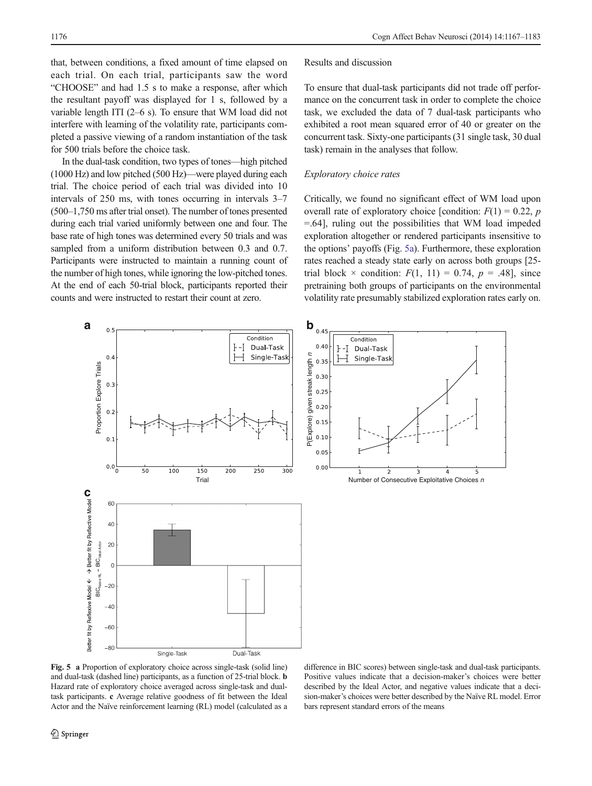<span id="page-9-0"></span>that, between conditions, a fixed amount of time elapsed on each trial. On each trial, participants saw the word "CHOOSE" and had 1.5 s to make a response, after which the resultant payoff was displayed for 1 s, followed by a variable length ITI (2–6 s). To ensure that WM load did not interfere with learning of the volatility rate, participants completed a passive viewing of a random instantiation of the task for 500 trials before the choice task.

In the dual-task condition, two types of tones—high pitched (1000 Hz) and low pitched (500 Hz)—were played during each trial. The choice period of each trial was divided into 10 intervals of 250 ms, with tones occurring in intervals 3–7 (500–1,750 ms after trial onset). The number of tones presented during each trial varied uniformly between one and four. The base rate of high tones was determined every 50 trials and was sampled from a uniform distribution between 0.3 and 0.7. Participants were instructed to maintain a running count of the number of high tones, while ignoring the low-pitched tones. At the end of each 50-trial block, participants reported their counts and were instructed to restart their count at zero.

#### Results and discussion

To ensure that dual-task participants did not trade off performance on the concurrent task in order to complete the choice task, we excluded the data of 7 dual-task participants who exhibited a root mean squared error of 40 or greater on the concurrent task. Sixty-one participants (31 single task, 30 dual task) remain in the analyses that follow.

#### Exploratory choice rates

Critically, we found no significant effect of WM load upon overall rate of exploratory choice [condition:  $F(1) = 0.22$ , p =.64], ruling out the possibilities that WM load impeded exploration altogether or rendered participants insensitive to the options' payoffs (Fig. 5a). Furthermore, these exploration rates reached a steady state early on across both groups [25 trial block  $\times$  condition:  $F(1, 11) = 0.74$ ,  $p = .48$ ], since pretraining both groups of participants on the environmental volatility rate presumably stabilized exploration rates early on.



Fig. 5 a Proportion of exploratory choice across single-task (solid line) and dual-task (dashed line) participants, as a function of 25-trial block. b Hazard rate of exploratory choice averaged across single-task and dualtask participants. c Average relative goodness of fit between the Ideal Actor and the Naïve reinforcement learning (RL) model (calculated as a

difference in BIC scores) between single-task and dual-task participants. Positive values indicate that a decision-maker's choices were better described by the Ideal Actor, and negative values indicate that a decision-maker's choices were better described by the Naïve RL model. Error bars represent standard errors of the means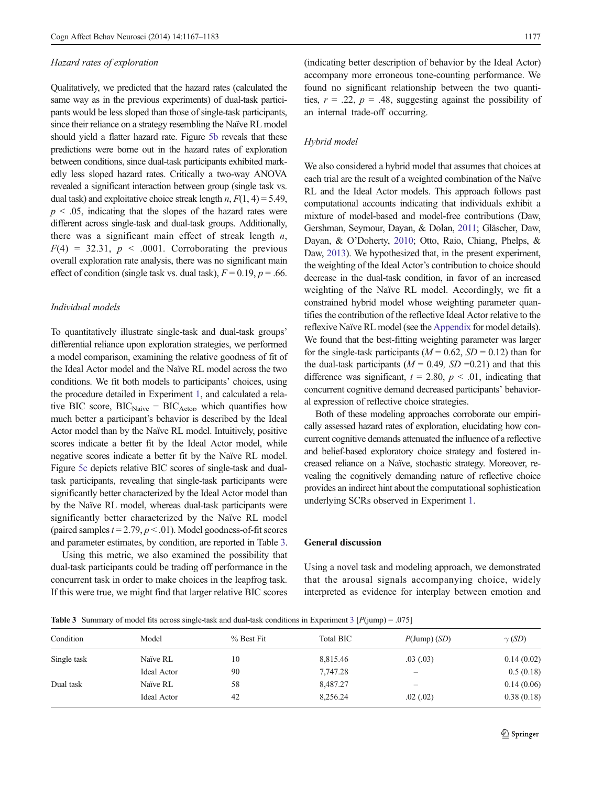#### Hazard rates of exploration

Qualitatively, we predicted that the hazard rates (calculated the same way as in the previous experiments) of dual-task participants would be less sloped than those of single-task participants, since their reliance on a strategy resembling the Naïve RL model should yield a flatter hazard rate. Figure [5b](#page-9-0) reveals that these predictions were borne out in the hazard rates of exploration between conditions, since dual-task participants exhibited markedly less sloped hazard rates. Critically a two-way ANOVA revealed a significant interaction between group (single task vs. dual task) and exploitative choice streak length  $n, F(1, 4) = 5.49$ ,  $p \leq 0.05$ , indicating that the slopes of the hazard rates were different across single-task and dual-task groups. Additionally, there was a significant main effect of streak length  $n$ ,  $F(4) = 32.31$ ,  $p \lt 0.0001$ . Corroborating the previous overall exploration rate analysis, there was no significant main effect of condition (single task vs. dual task),  $F = 0.19$ ,  $p = .66$ .

## Individual models

To quantitatively illustrate single-task and dual-task groups' differential reliance upon exploration strategies, we performed a model comparison, examining the relative goodness of fit of the Ideal Actor model and the Naïve RL model across the two conditions. We fit both models to participants' choices, using the procedure detailed in Experiment [1,](#page-3-0) and calculated a relative BIC score,  $BIC_{\text{Naive}} - BIC_{\text{Actop}}$  which quantifies how much better a participant's behavior is described by the Ideal Actor model than by the Naïve RL model. Intuitively, positive scores indicate a better fit by the Ideal Actor model, while negative scores indicate a better fit by the Naïve RL model. Figure [5c](#page-9-0) depicts relative BIC scores of single-task and dualtask participants, revealing that single-task participants were significantly better characterized by the Ideal Actor model than by the Naïve RL model, whereas dual-task participants were significantly better characterized by the Naïve RL model (paired samples  $t = 2.79$ ,  $p < .01$ ). Model goodness-of-fit scores and parameter estimates, by condition, are reported in Table 3.

Using this metric, we also examined the possibility that dual-task participants could be trading off performance in the concurrent task in order to make choices in the leapfrog task. If this were true, we might find that larger relative BIC scores

(indicating better description of behavior by the Ideal Actor) accompany more erroneous tone-counting performance. We found no significant relationship between the two quantities,  $r = .22$ ,  $p = .48$ , suggesting against the possibility of an internal trade-off occurring.

## Hybrid model

We also considered a hybrid model that assumes that choices at each trial are the result of a weighted combination of the Naïve RL and the Ideal Actor models. This approach follows past computational accounts indicating that individuals exhibit a mixture of model-based and model-free contributions (Daw, Gershman, Seymour, Dayan, & Dolan, [2011;](#page-15-0) Gläscher, Daw, Dayan, & O'Doherty, [2010;](#page-15-0) Otto, Raio, Chiang, Phelps, & Daw, [2013](#page-16-0)). We hypothesized that, in the present experiment, the weighting of the Ideal Actor's contribution to choice should decrease in the dual-task condition, in favor of an increased weighting of the Naïve RL model. Accordingly, we fit a constrained hybrid model whose weighting parameter quantifies the contribution of the reflective Ideal Actor relative to the reflexive Naïve RL model (see the [Appendix](#page-12-0) for model details). We found that the best-fitting weighting parameter was larger for the single-task participants ( $M = 0.62$ ,  $SD = 0.12$ ) than for the dual-task participants ( $M = 0.49$ ,  $SD = 0.21$ ) and that this difference was significant,  $t = 2.80$ ,  $p < .01$ , indicating that concurrent cognitive demand decreased participants' behavioral expression of reflective choice strategies.

Both of these modeling approaches corroborate our empirically assessed hazard rates of exploration, elucidating how concurrent cognitive demands attenuated the influence of a reflective and belief-based exploratory choice strategy and fostered increased reliance on a Naïve, stochastic strategy. Moreover, revealing the cognitively demanding nature of reflective choice provides an indirect hint about the computational sophistication underlying SCRs observed in Experiment [1](#page-3-0).

## General discussion

Using a novel task and modeling approach, we demonstrated that the arousal signals accompanying choice, widely interpreted as evidence for interplay between emotion and

**Table [3](#page-8-0)** Summary of model fits across single-task and dual-task conditions in Experiment 3  $[P(iump) = .075]$ 

| Condition   | Model       | $%$ Best Fit | Total BIC | $P(\text{Jump})$ (SD)          | $\gamma(SD)$ |
|-------------|-------------|--------------|-----------|--------------------------------|--------------|
| Single task | Naïve RL    | 10           | 8,815.46  | .03(0.03)                      | 0.14(0.02)   |
|             | Ideal Actor | 90           | 7,747.28  | $\qquad \qquad \longleftarrow$ | 0.5(0.18)    |
| Dual task   | Naïve RL    | 58           | 8,487.27  | $\qquad \qquad \  \, -$        | 0.14(0.06)   |
|             | Ideal Actor | 42           | 8,256.24  | .02(.02)                       | 0.38(0.18)   |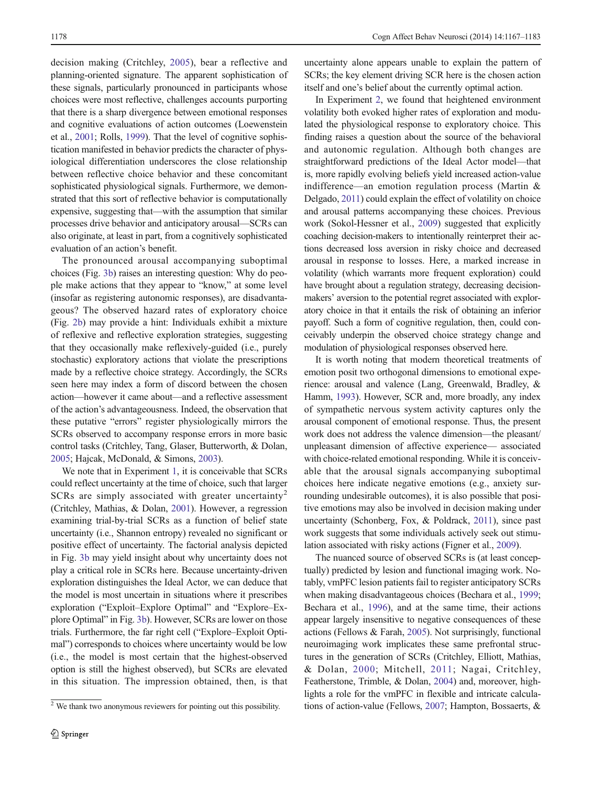decision making (Critchley, [2005](#page-15-0)), bear a reflective and planning-oriented signature. The apparent sophistication of these signals, particularly pronounced in participants whose choices were most reflective, challenges accounts purporting that there is a sharp divergence between emotional responses and cognitive evaluations of action outcomes (Loewenstein et al., [2001](#page-15-0); Rolls, [1999\)](#page-16-0). That the level of cognitive sophistication manifested in behavior predicts the character of physiological differentiation underscores the close relationship between reflective choice behavior and these concomitant sophisticated physiological signals. Furthermore, we demonstrated that this sort of reflective behavior is computationally expensive, suggesting that—with the assumption that similar processes drive behavior and anticipatory arousal—SCRs can also originate, at least in part, from a cognitively sophisticated evaluation of an action's benefit.

The pronounced arousal accompanying suboptimal choices (Fig. [3b\)](#page-5-0) raises an interesting question: Why do people make actions that they appear to "know," at some level (insofar as registering autonomic responses), are disadvantageous? The observed hazard rates of exploratory choice (Fig. [2b](#page-4-0)) may provide a hint: Individuals exhibit a mixture of reflexive and reflective exploration strategies, suggesting that they occasionally make reflexively-guided (i.e., purely stochastic) exploratory actions that violate the prescriptions made by a reflective choice strategy. Accordingly, the SCRs seen here may index a form of discord between the chosen action—however it came about—and a reflective assessment of the action's advantageousness. Indeed, the observation that these putative "errors" register physiologically mirrors the SCRs observed to accompany response errors in more basic control tasks (Critchley, Tang, Glaser, Butterworth, & Dolan, [2005;](#page-15-0) Hajcak, McDonald, & Simons, [2003](#page-15-0)).

We note that in Experiment [1](#page-3-0), it is conceivable that SCRs could reflect uncertainty at the time of choice, such that larger SCRs are simply associated with greater uncertainty<sup>2</sup> (Critchley, Mathias, & Dolan, [2001\)](#page-15-0). However, a regression examining trial-by-trial SCRs as a function of belief state uncertainty (i.e., Shannon entropy) revealed no significant or positive effect of uncertainty. The factorial analysis depicted in Fig. [3b](#page-5-0) may yield insight about why uncertainty does not play a critical role in SCRs here. Because uncertainty-driven exploration distinguishes the Ideal Actor, we can deduce that the model is most uncertain in situations where it prescribes exploration ("Exploit–Explore Optimal" and "Explore–Explore Optimal" in Fig. [3b](#page-5-0)). However, SCRs are lower on those trials. Furthermore, the far right cell ("Explore–Exploit Optimal") corresponds to choices where uncertainty would be low (i.e., the model is most certain that the highest-observed option is still the highest observed), but SCRs are elevated in this situation. The impression obtained, then, is that uncertainty alone appears unable to explain the pattern of SCRs; the key element driving SCR here is the chosen action itself and one's belief about the currently optimal action.

In Experiment [2](#page-6-0), we found that heightened environment volatility both evoked higher rates of exploration and modulated the physiological response to exploratory choice. This finding raises a question about the source of the behavioral and autonomic regulation. Although both changes are straightforward predictions of the Ideal Actor model—that is, more rapidly evolving beliefs yield increased action-value indifference—an emotion regulation process (Martin & Delgado, [2011\)](#page-16-0) could explain the effect of volatility on choice and arousal patterns accompanying these choices. Previous work (Sokol-Hessner et al., [2009](#page-16-0)) suggested that explicitly coaching decision-makers to intentionally reinterpret their actions decreased loss aversion in risky choice and decreased arousal in response to losses. Here, a marked increase in volatility (which warrants more frequent exploration) could have brought about a regulation strategy, decreasing decisionmakers' aversion to the potential regret associated with exploratory choice in that it entails the risk of obtaining an inferior payoff. Such a form of cognitive regulation, then, could conceivably underpin the observed choice strategy change and modulation of physiological responses observed here.

It is worth noting that modern theoretical treatments of emotion posit two orthogonal dimensions to emotional experience: arousal and valence (Lang, Greenwald, Bradley, & Hamm, [1993\)](#page-15-0). However, SCR and, more broadly, any index of sympathetic nervous system activity captures only the arousal component of emotional response. Thus, the present work does not address the valence dimension—the pleasant/ unpleasant dimension of affective experience— associated with choice-related emotional responding. While it is conceivable that the arousal signals accompanying suboptimal choices here indicate negative emotions (e.g., anxiety surrounding undesirable outcomes), it is also possible that positive emotions may also be involved in decision making under uncertainty (Schonberg, Fox, & Poldrack, [2011](#page-16-0)), since past work suggests that some individuals actively seek out stimulation associated with risky actions (Figner et al., [2009](#page-15-0)).

The nuanced source of observed SCRs is (at least conceptually) predicted by lesion and functional imaging work. Notably, vmPFC lesion patients fail to register anticipatory SCRs when making disadvantageous choices (Bechara et al., [1999;](#page-15-0) Bechara et al., [1996\)](#page-15-0), and at the same time, their actions appear largely insensitive to negative consequences of these actions (Fellows & Farah, [2005](#page-15-0)). Not surprisingly, functional neuroimaging work implicates these same prefrontal structures in the generation of SCRs (Critchley, Elliott, Mathias, & Dolan, [2000](#page-15-0); Mitchell, [2011;](#page-16-0) Nagai, Critchley, Featherstone, Trimble, & Dolan, [2004](#page-16-0)) and, moreover, highlights a role for the vmPFC in flexible and intricate calcula- <sup>2</sup> We thank two anonymous reviewers for pointing out this possibility. tions of action-value (Fellows, [2007](#page-15-0); Hampton, Bossaerts,  $&$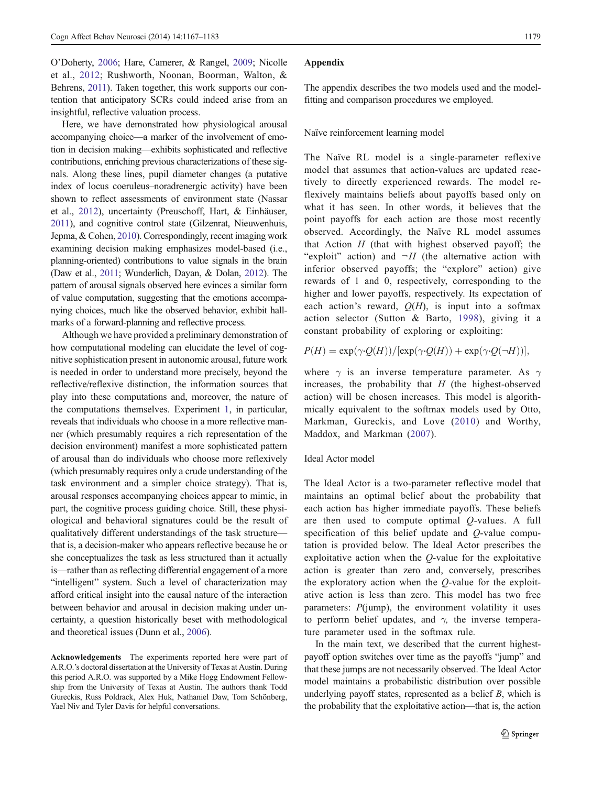<span id="page-12-0"></span>O'Doherty, [2006](#page-15-0); Hare, Camerer, & Rangel, [2009](#page-15-0); Nicolle et al., [2012;](#page-16-0) Rushworth, Noonan, Boorman, Walton, & Behrens, [2011\)](#page-16-0). Taken together, this work supports our contention that anticipatory SCRs could indeed arise from an insightful, reflective valuation process.

Here, we have demonstrated how physiological arousal accompanying choice—a marker of the involvement of emotion in decision making—exhibits sophisticated and reflective contributions, enriching previous characterizations of these signals. Along these lines, pupil diameter changes (a putative index of locus coeruleus–noradrenergic activity) have been shown to reflect assessments of environment state (Nassar et al., [2012\)](#page-16-0), uncertainty (Preuschoff, Hart, & Einhäuser, [2011](#page-16-0)), and cognitive control state (Gilzenrat, Nieuwenhuis, Jepma, & Cohen, [2010](#page-15-0)). Correspondingly, recent imaging work examining decision making emphasizes model-based (i.e., planning-oriented) contributions to value signals in the brain (Daw et al., [2011](#page-15-0); Wunderlich, Dayan, & Dolan, [2012](#page-16-0)). The pattern of arousal signals observed here evinces a similar form of value computation, suggesting that the emotions accompanying choices, much like the observed behavior, exhibit hallmarks of a forward-planning and reflective process.

Although we have provided a preliminary demonstration of how computational modeling can elucidate the level of cognitive sophistication present in autonomic arousal, future work is needed in order to understand more precisely, beyond the reflective/reflexive distinction, the information sources that play into these computations and, moreover, the nature of the computations themselves. Experiment [1,](#page-3-0) in particular, reveals that individuals who choose in a more reflective manner (which presumably requires a rich representation of the decision environment) manifest a more sophisticated pattern of arousal than do individuals who choose more reflexively (which presumably requires only a crude understanding of the task environment and a simpler choice strategy). That is, arousal responses accompanying choices appear to mimic, in part, the cognitive process guiding choice. Still, these physiological and behavioral signatures could be the result of qualitatively different understandings of the task structure that is, a decision-maker who appears reflective because he or she conceptualizes the task as less structured than it actually is—rather than as reflecting differential engagement of a more "intelligent" system. Such a level of characterization may afford critical insight into the causal nature of the interaction between behavior and arousal in decision making under uncertainty, a question historically beset with methodological and theoretical issues (Dunn et al., [2006\)](#page-15-0).

Acknowledgements The experiments reported here were part of A.R.O.'s doctoral dissertation at the University of Texas at Austin. During this period A.R.O. was supported by a Mike Hogg Endowment Fellowship from the University of Texas at Austin. The authors thank Todd Gureckis, Russ Poldrack, Alex Huk, Nathaniel Daw, Tom Schönberg, Yael Niv and Tyler Davis for helpful conversations.

#### Appendix

The appendix describes the two models used and the modelfitting and comparison procedures we employed.

#### Naïve reinforcement learning model

The Naïve RL model is a single-parameter reflexive model that assumes that action-values are updated reactively to directly experienced rewards. The model reflexively maintains beliefs about payoffs based only on what it has seen. In other words, it believes that the point payoffs for each action are those most recently observed. Accordingly, the Naïve RL model assumes that Action  $H$  (that with highest observed payoff; the "exploit" action) and  $\neg H$  (the alternative action with inferior observed payoffs; the "explore" action) give rewards of 1 and 0, respectively, corresponding to the higher and lower payoffs, respectively. Its expectation of each action's reward,  $O(H)$ , is input into a softmax action selector (Sutton & Barto, [1998](#page-16-0)), giving it a constant probability of exploring or exploiting:

$$
P(H) = \exp(\gamma \cdot Q(H)) / [\exp(\gamma \cdot Q(H)) + \exp(\gamma \cdot Q(\neg H))],
$$

where  $\gamma$  is an inverse temperature parameter. As  $\gamma$ increases, the probability that  $H$  (the highest-observed action) will be chosen increases. This model is algorithmically equivalent to the softmax models used by Otto, Markman, Gureckis, and Love ([2010](#page-16-0)) and Worthy, Maddox, and Markman ([2007](#page-16-0)).

#### Ideal Actor model

The Ideal Actor is a two-parameter reflective model that maintains an optimal belief about the probability that each action has higher immediate payoffs. These beliefs are then used to compute optimal Q-values. A full specification of this belief update and Q-value computation is provided below. The Ideal Actor prescribes the exploitative action when the  $Q$ -value for the exploitative action is greater than zero and, conversely, prescribes the exploratory action when the Q-value for the exploitative action is less than zero. This model has two free parameters:  $P(iump)$ , the environment volatility it uses to perform belief updates, and  $\gamma$ , the inverse temperature parameter used in the softmax rule.

In the main text, we described that the current highestpayoff option switches over time as the payoffs "jump" and that these jumps are not necessarily observed. The Ideal Actor model maintains a probabilistic distribution over possible underlying payoff states, represented as a belief  $B$ , which is the probability that the exploitative action—that is, the action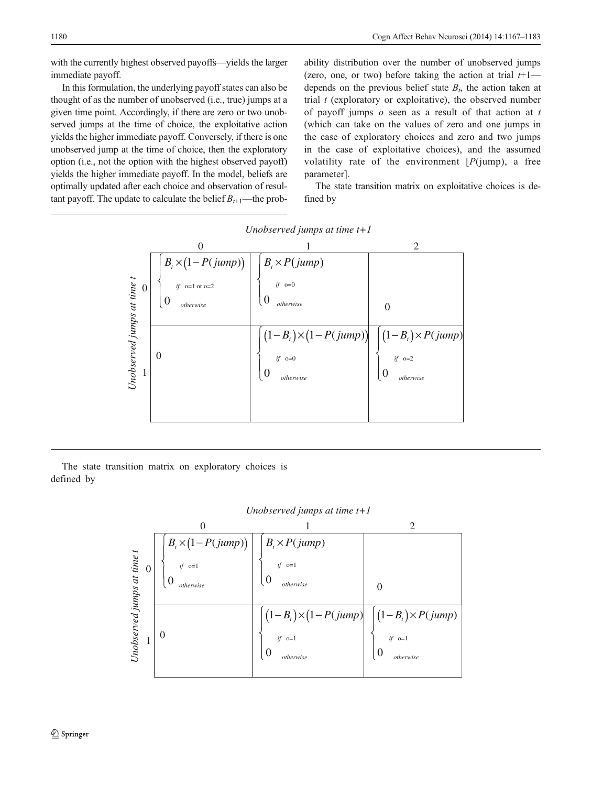with the currently highest observed payoffs—yields the larger immediate payoff.

In this formulation, the underlying payoff states can also be thought of as the number of unobserved (i.e., true) jumps at a given time point. Accordingly, if there are zero or two unobserved jumps at the time of choice, the exploitative action yields the higher immediate payoff. Conversely, if there is one unobserved jump at the time of choice, then the exploratory option (i.e., not the option with the highest observed payoff) yields the higher immediate payoff. In the model, beliefs are optimally updated after each choice and observation of resultant payoff. The update to calculate the belief  $B_{t+1}$ —the probability distribution over the number of unobserved jumps (zero, one, or two) before taking the action at trial  $t+1$  depends on the previous belief state  $B_t$ , the action taken at trial  $t$  (exploratory or exploitative), the observed number of payoff jumps  $\sigma$  seen as a result of that action at t (which can take on the values of zero and one jumps in the case of exploratory choices and zero and two jumps in the case of exploitative choices), and the assumed volatility rate of the environment  $[P(iump)]$ , a free parameter].

The state transition matrix on exploitative choices is defined by



The state transition matrix on exploratory choices is defined by

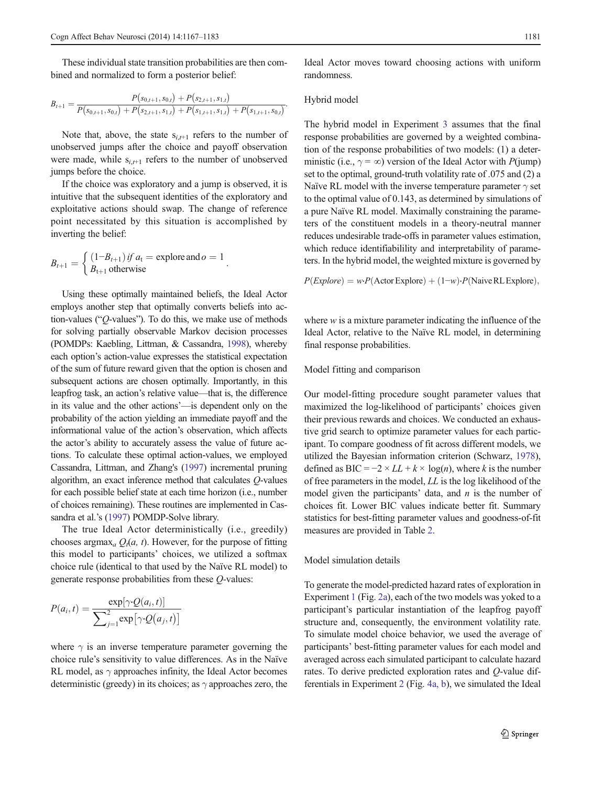These individual state transition probabilities are then combined and normalized to form a posterior belief:

$$
B_{t+1} = \frac{P(s_{0,t+1}, s_{0,t}) + P(s_{2,t+1}, s_{1,t})}{P(s_{0,t+1}, s_{0,t}) + P(s_{2,t+1}, s_{1,t}) + P(s_{1,t+1}, s_{1,t}) + P(s_{1,t+1}, s_{0,t})}.
$$

Note that, above, the state  $s_{i,t+1}$  refers to the number of unobserved jumps after the choice and payoff observation were made, while  $s_{i,t+1}$  refers to the number of unobserved jumps before the choice.

If the choice was exploratory and a jump is observed, it is intuitive that the subsequent identities of the exploratory and exploitative actions should swap. The change of reference point necessitated by this situation is accomplished by inverting the belief:

$$
B_{t+1} = \begin{cases} (1 - B_{t+1}) \text{ if } a_t = \text{explore and } o = 1 \\ B_{t+1} \text{ otherwise} \end{cases}.
$$

Using these optimally maintained beliefs, the Ideal Actor employs another step that optimally converts beliefs into action-values ("Q-values"). To do this, we make use of methods for solving partially observable Markov decision processes (POMDPs: Kaebling, Littman, & Cassandra, [1998](#page-15-0)), whereby each option's action-value expresses the statistical expectation of the sum of future reward given that the option is chosen and subsequent actions are chosen optimally. Importantly, in this leapfrog task, an action's relative value—that is, the difference in its value and the other actions'—is dependent only on the probability of the action yielding an immediate payoff and the informational value of the action's observation, which affects the actor's ability to accurately assess the value of future actions. To calculate these optimal action-values, we employed Cassandra, Littman, and Zhang's ([1997\)](#page-15-0) incremental pruning algorithm, an exact inference method that calculates Q-values for each possible belief state at each time horizon (i.e., number of choices remaining). These routines are implemented in Cassandra et al.'s ([1997\)](#page-15-0) POMDP-Solve library.

The true Ideal Actor deterministically (i.e., greedily) chooses argmax<sub>a</sub>  $Q_t(a, t)$ . However, for the purpose of fitting this model to participants' choices, we utilized a softmax choice rule (identical to that used by the Naïve RL model) to generate response probabilities from these Q-values:

$$
P(a_i, t) = \frac{\exp[\gamma \cdot Q(a_i, t)]}{\sum_{j=1}^{2} \exp[\gamma \cdot Q(a_j, t)]}
$$

where  $\gamma$  is an inverse temperature parameter governing the choice rule's sensitivity to value differences. As in the Naïve RL model, as  $\gamma$  approaches infinity, the Ideal Actor becomes deterministic (greedy) in its choices; as  $\gamma$  approaches zero, the Ideal Actor moves toward choosing actions with uniform randomness.

## Hybrid model

The hybrid model in Experiment [3](#page-8-0) assumes that the final response probabilities are governed by a weighted combination of the response probabilities of two models: (1) a deterministic (i.e.,  $\gamma = \infty$ ) version of the Ideal Actor with P(jump) set to the optimal, ground-truth volatility rate of .075 and (2) a Naïve RL model with the inverse temperature parameter  $\gamma$  set to the optimal value of 0.143, as determined by simulations of a pure Naïve RL model. Maximally constraining the parameters of the constituent models in a theory-neutral manner reduces undesirable trade-offs in parameter values estimation, which reduce identifiabilility and interpretability of parameters. In the hybrid model, the weighted mixture is governed by

$$
P(Explore) = w \cdot P(\text{Actor Explore}) + (1-w) \cdot P(\text{Naive RLExplore}),
$$

where  $w$  is a mixture parameter indicating the influence of the Ideal Actor, relative to the Naïve RL model, in determining final response probabilities.

#### Model fitting and comparison

Our model-fitting procedure sought parameter values that maximized the log-likelihood of participants' choices given their previous rewards and choices. We conducted an exhaustive grid search to optimize parameter values for each participant. To compare goodness of fit across different models, we utilized the Bayesian information criterion (Schwarz, [1978\)](#page-16-0), defined as BIC =  $-2 \times LL + k \times \log(n)$ , where k is the number of free parameters in the model, LL is the log likelihood of the model given the participants' data, and  $n$  is the number of choices fit. Lower BIC values indicate better fit. Summary statistics for best-fitting parameter values and goodness-of-fit measures are provided in Table [2](#page-6-0).

#### Model simulation details

To generate the model-predicted hazard rates of exploration in Experiment [1](#page-3-0) (Fig. [2a\)](#page-4-0), each of the two models was yoked to a participant's particular instantiation of the leapfrog payoff structure and, consequently, the environment volatility rate. To simulate model choice behavior, we used the average of participants' best-fitting parameter values for each model and averaged across each simulated participant to calculate hazard rates. To derive predicted exploration rates and Q-value differentials in Experiment [2](#page-6-0) (Fig. [4a, b\)](#page-7-0), we simulated the Ideal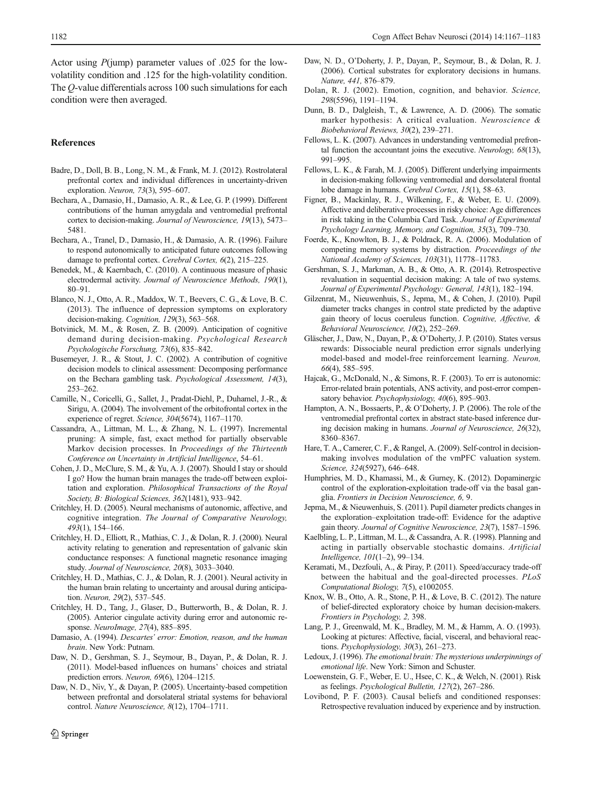<span id="page-15-0"></span>Actor using *P*(jump) parameter values of .025 for the lowvolatility condition and .125 for the high-volatility condition. The Q-value differentials across 100 such simulations for each condition were then averaged.

## References

- Badre, D., Doll, B. B., Long, N. M., & Frank, M. J. (2012). Rostrolateral prefrontal cortex and individual differences in uncertainty-driven exploration. Neuron, 73(3), 595–607.
- Bechara, A., Damasio, H., Damasio, A. R., & Lee, G. P. (1999). Different contributions of the human amygdala and ventromedial prefrontal cortex to decision-making. Journal of Neuroscience, 19(13), 5473– 5481.
- Bechara, A., Tranel, D., Damasio, H., & Damasio, A. R. (1996). Failure to respond autonomically to anticipated future outcomes following damage to prefrontal cortex. Cerebral Cortex, 6(2), 215–225.
- Benedek, M., & Kaernbach, C. (2010). A continuous measure of phasic electrodermal activity. Journal of Neuroscience Methods, 190(1), 80–91.
- Blanco, N. J., Otto, A. R., Maddox, W. T., Beevers, C. G., & Love, B. C. (2013). The influence of depression symptoms on exploratory decision-making. Cognition, 129(3), 563-568.
- Botvinick, M. M., & Rosen, Z. B. (2009). Anticipation of cognitive demand during decision-making. Psychological Research Psychologische Forschung, 73(6), 835–842.
- Busemeyer, J. R., & Stout, J. C. (2002). A contribution of cognitive decision models to clinical assessment: Decomposing performance on the Bechara gambling task. Psychological Assessment, 14(3), 253–262.
- Camille, N., Coricelli, G., Sallet, J., Pradat-Diehl, P., Duhamel, J.-R., & Sirigu, A. (2004). The involvement of the orbitofrontal cortex in the experience of regret. Science, 304(5674), 1167–1170.
- Cassandra, A., Littman, M. L., & Zhang, N. L. (1997). Incremental pruning: A simple, fast, exact method for partially observable Markov decision processes. In Proceedings of the Thirteenth Conference on Uncertainty in Artificial Intelligence, 54–61.
- Cohen, J. D., McClure, S. M., & Yu, A. J. (2007). Should I stay or should I go? How the human brain manages the trade-off between exploitation and exploration. Philosophical Transactions of the Royal Society, B: Biological Sciences, 362(1481), 933–942.
- Critchley, H. D. (2005). Neural mechanisms of autonomic, affective, and cognitive integration. The Journal of Comparative Neurology, 493(1), 154–166.
- Critchley, H. D., Elliott, R., Mathias, C. J., & Dolan, R. J. (2000). Neural activity relating to generation and representation of galvanic skin conductance responses: A functional magnetic resonance imaging study. Journal of Neuroscience, 20(8), 3033–3040.
- Critchley, H. D., Mathias, C. J., & Dolan, R. J. (2001). Neural activity in the human brain relating to uncertainty and arousal during anticipation. Neuron, 29(2), 537–545.
- Critchley, H. D., Tang, J., Glaser, D., Butterworth, B., & Dolan, R. J. (2005). Anterior cingulate activity during error and autonomic response. NeuroImage, 27(4), 885–895.
- Damasio, A. (1994). Descartes' error: Emotion, reason, and the human brain. New York: Putnam.
- Daw, N. D., Gershman, S. J., Seymour, B., Dayan, P., & Dolan, R. J. (2011). Model-based influences on humans' choices and striatal prediction errors. Neuron, 69(6), 1204–1215.
- Daw, N. D., Niv, Y., & Dayan, P. (2005). Uncertainty-based competition between prefrontal and dorsolateral striatal systems for behavioral control. Nature Neuroscience, 8(12), 1704–1711.
- Daw, N. D., O'Doherty, J. P., Dayan, P., Seymour, B., & Dolan, R. J. (2006). Cortical substrates for exploratory decisions in humans. Nature, 441, 876–879.
- Dolan, R. J. (2002). Emotion, cognition, and behavior. Science, 298(5596), 1191–1194.
- Dunn, B. D., Dalgleish, T., & Lawrence, A. D. (2006). The somatic marker hypothesis: A critical evaluation. Neuroscience & Biobehavioral Reviews, 30(2), 239–271.
- Fellows, L. K. (2007). Advances in understanding ventromedial prefrontal function the accountant joins the executive. Neurology, 68(13), 991–995.
- Fellows, L. K., & Farah, M. J. (2005). Different underlying impairments in decision-making following ventromedial and dorsolateral frontal lobe damage in humans. Cerebral Cortex, 15(1), 58–63.
- Figner, B., Mackinlay, R. J., Wilkening, F., & Weber, E. U. (2009). Affective and deliberative processes in risky choice: Age differences in risk taking in the Columbia Card Task. Journal of Experimental Psychology Learning, Memory, and Cognition, 35(3), 709–730.
- Foerde, K., Knowlton, B. J., & Poldrack, R. A. (2006). Modulation of competing memory systems by distraction. Proceedings of the National Academy of Sciences, 103(31), 11778–11783.
- Gershman, S. J., Markman, A. B., & Otto, A. R. (2014). Retrospective revaluation in sequential decision making: A tale of two systems. Journal of Experimental Psychology: General, 143(1), 182–194.
- Gilzenrat, M., Nieuwenhuis, S., Jepma, M., & Cohen, J. (2010). Pupil diameter tracks changes in control state predicted by the adaptive gain theory of locus coeruleus function. Cognitive, Affective, & Behavioral Neuroscience, 10(2), 252–269.
- Gläscher, J., Daw, N., Dayan, P., & O'Doherty, J. P. (2010). States versus rewards: Dissociable neural prediction error signals underlying model-based and model-free reinforcement learning. Neuron, 66(4), 585–595.
- Hajcak, G., McDonald, N., & Simons, R. F. (2003). To err is autonomic: Error-related brain potentials, ANS activity, and post-error compensatory behavior. Psychophysiology, 40(6), 895–903.
- Hampton, A. N., Bossaerts, P., & O'Doherty, J. P. (2006). The role of the ventromedial prefrontal cortex in abstract state-based inference during decision making in humans. Journal of Neuroscience, 26(32), 8360–8367.
- Hare, T. A., Camerer, C. F., & Rangel, A. (2009). Self-control in decisionmaking involves modulation of the vmPFC valuation system. Science, 324(5927), 646–648.
- Humphries, M. D., Khamassi, M., & Gurney, K. (2012). Dopaminergic control of the exploration-exploitation trade-off via the basal ganglia. Frontiers in Decision Neuroscience, 6, 9.
- Jepma, M., & Nieuwenhuis, S. (2011). Pupil diameter predicts changes in the exploration–exploitation trade-off: Evidence for the adaptive gain theory. Journal of Cognitive Neuroscience, 23(7), 1587–1596.
- Kaelbling, L. P., Littman, M. L., & Cassandra, A. R. (1998). Planning and acting in partially observable stochastic domains. Artificial Intelligence, 101(1–2), 99–134.
- Keramati, M., Dezfouli, A., & Piray, P. (2011). Speed/accuracy trade-off between the habitual and the goal-directed processes. PLoS Computational Biology, 7(5), e1002055.
- Knox, W. B., Otto, A. R., Stone, P. H., & Love, B. C. (2012). The nature of belief-directed exploratory choice by human decision-makers. Frontiers in Psychology, 2, 398.
- Lang, P. J., Greenwald, M. K., Bradley, M. M., & Hamm, A. O. (1993). Looking at pictures: Affective, facial, visceral, and behavioral reactions. Psychophysiology, 30(3), 261–273.
- Ledoux, J. (1996). The emotional brain: The mysterious underpinnings of emotional life. New York: Simon and Schuster.
- Loewenstein, G. F., Weber, E. U., Hsee, C. K., & Welch, N. (2001). Risk as feelings. Psychological Bulletin, 127(2), 267–286.
- Lovibond, P. F. (2003). Causal beliefs and conditioned responses: Retrospective revaluation induced by experience and by instruction.